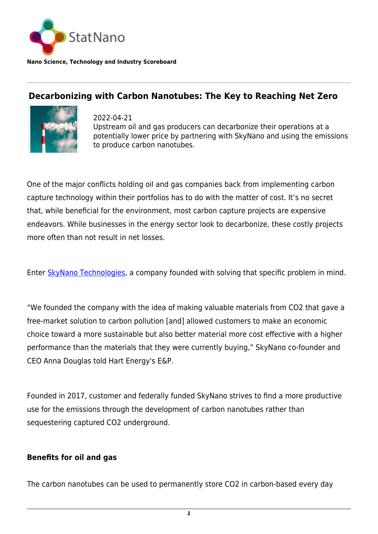

**Nano Science, Technology and Industry Scoreboard**

## **Decarbonizing with Carbon Nanotubes: The Key to Reaching Net Zero**



2022-04-21 Upstream oil and gas producers can decarbonize their operations at a potentially lower price by partnering with SkyNano and using the emissions to produce carbon nanotubes.

One of the major conflicts holding oil and gas companies back from implementing carbon capture technology within their portfolios has to do with the matter of cost. It's no secret that, while beneficial for the environment, most carbon capture projects are expensive endeavors. While businesses in the energy sector look to decarbonize, these costly projects more often than not result in net losses.

Enter [SkyNano Technologies](https://www.skynanotechnologies.com/), a company founded with solving that specific problem in mind.

"We founded the company with the idea of making valuable materials from CO2 that gave a free-market solution to carbon pollution [and] allowed customers to make an economic choice toward a more sustainable but also better material more cost effective with a higher performance than the materials that they were currently buying," SkyNano co-founder and CEO Anna Douglas told Hart Energy's E&P.

Founded in 2017, customer and federally funded SkyNano strives to find a more productive use for the emissions through the development of carbon nanotubes rather than sequestering captured CO2 underground.

## **Benefits for oil and gas**

The carbon nanotubes can be used to permanently store CO2 in carbon-based every day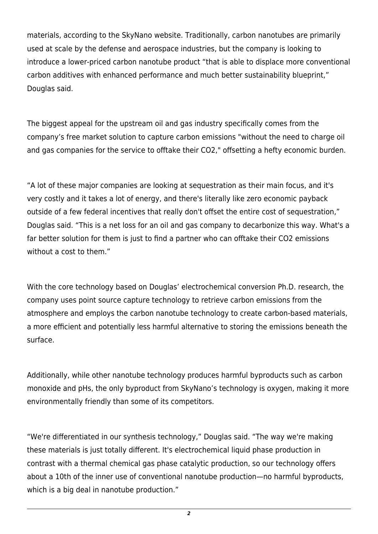materials, according to the SkyNano website. Traditionally, carbon nanotubes are primarily used at scale by the defense and aerospace industries, but the company is looking to introduce a lower-priced carbon nanotube product "that is able to displace more conventional carbon additives with enhanced performance and much better sustainability blueprint," Douglas said.

The biggest appeal for the upstream oil and gas industry specifically comes from the company's free market solution to capture carbon emissions "without the need to charge oil and gas companies for the service to offtake their CO2," offsetting a hefty economic burden.

"A lot of these major companies are looking at sequestration as their main focus, and it's very costly and it takes a lot of energy, and there's literally like zero economic payback outside of a few federal incentives that really don't offset the entire cost of sequestration," Douglas said. "This is a net loss for an oil and gas company to decarbonize this way. What's a far better solution for them is just to find a partner who can offtake their CO2 emissions without a cost to them."

With the core technology based on Douglas' electrochemical conversion Ph.D. research, the company uses point source capture technology to retrieve carbon emissions from the atmosphere and employs the carbon nanotube technology to create carbon-based materials, a more efficient and potentially less harmful alternative to storing the emissions beneath the surface.

Additionally, while other nanotube technology produces harmful byproducts such as carbon monoxide and pHs, the only byproduct from SkyNano's technology is oxygen, making it more environmentally friendly than some of its competitors.

"We're differentiated in our synthesis technology," Douglas said. "The way we're making these materials is just totally different. It's electrochemical liquid phase production in contrast with a thermal chemical gas phase catalytic production, so our technology offers about a 10th of the inner use of conventional nanotube production—no harmful byproducts, which is a big deal in nanotube production."